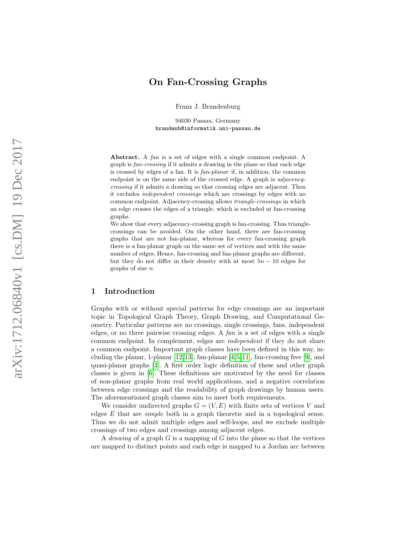# On Fan-Crossing Graphs

Franz J. Brandenburg

94030 Passau, Germany brandenb@informatik.uni-passau.de

Abstract. A fan is a set of edges with a single common endpoint. A graph is fan-crossing if it admits a drawing in the plane so that each edge is crossed by edges of a fan. It is fan-planar if, in addition, the common endpoint is on the same side of the crossed edge. A graph is adjacencycrossing if it admits a drawing so that crossing edges are adjacent. Then it excludes independent crossings which are crossings by edges with no common endpoint. Adjacency-crossing allows triangle-crossings in which an edge crosses the edges of a triangle, which is excluded at fan-crossing graphs.

We show that every adjacency-crossing graph is fan-crossing. Thus trianglecrossings can be avoided. On the other hand, there are fan-crossing graphs that are not fan-planar, whereas for every fan-crossing graph there is a fan-planar graph on the same set of vertices and with the same number of edges. Hence, fan-crossing and fan-planar graphs are different, but they do not differ in their density with at most  $5n - 10$  edges for graphs of size n .

## 1 Introduction

Graphs with or without special patterns for edge crossings are an important topic in Topological Graph Theory, Graph Drawing, and Computational Geometry. Particular patterns are no crossings, single crossings, fans, independent edges, or no three pairwise crossing edges. A  $fan$  is a set of edges with a single common endpoint. In complement, edges are independent if they do not share a common endpoint. Important graph classes have been defined in this way, including the planar, 1-planar [\[12,](#page-18-0)[13\]](#page-18-1), fan-planar [\[4,](#page-17-0)[5,](#page-18-2)[11\]](#page-18-3), fan-crossing free [\[9\]](#page-18-4), and quasi-planar graphs [\[3\]](#page-17-1). A first order logic definition of these and other graph classes is given in [\[6\]](#page-18-5). These definitions are motivated by the need for classes of non-planar graphs from real world applications, and a negative correlation between edge crossings and the readability of graph drawings by human users. The aforementioned graph classes aim to meet both requirements.

We consider undirected graphs  $G = (V, E)$  with finite sets of vertices V and edges E that are simple both in a graph theoretic and in a topological sense. Thus we do not admit multiple edges and self-loops, and we exclude multiple crossings of two edges and crossings among adjacent edges.

A *drawing* of a graph  $G$  is a mapping of  $G$  into the plane so that the vertices are mapped to distinct points and each edge is mapped to a Jordan arc between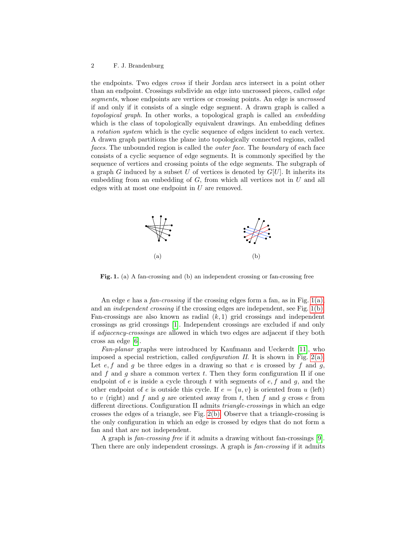the endpoints. Two edges cross if their Jordan arcs intersect in a point other than an endpoint. Crossings subdivide an edge into uncrossed pieces, called edge segments, whose endpoints are vertices or crossing points. An edge is *uncrossed* if and only if it consists of a single edge segment. A drawn graph is called a topological graph. In other works, a topological graph is called an embedding which is the class of topologically equivalent drawings. An embedding defines a rotation system which is the cyclic sequence of edges incident to each vertex. A drawn graph partitions the plane into topologically connected regions, called faces. The unbounded region is called the *outer face*. The *boundary* of each face consists of a cyclic sequence of edge segments. It is commonly specified by the sequence of vertices and crossing points of the edge segments. The subgraph of a graph G induced by a subset U of vertices is denoted by  $G[U]$ . It inherits its embedding from an embedding of  $G$ , from which all vertices not in  $U$  and all edges with at most one endpoint in U are removed.

<span id="page-1-1"></span><span id="page-1-0"></span>

Fig. 1. (a) A fan-crossing and (b) an independent crossing or fan-crossing free

An edge e has a fan-crossing if the crossing edges form a fan, as in Fig.  $1(a)$ , and an independent crossing if the crossing edges are independent, see Fig. [1\(b\).](#page-1-1) Fan-crossings are also known as radial  $(k, 1)$  grid crossings and independent crossings as grid crossings [\[1\]](#page-17-2). Independent crossings are excluded if and only if adjacency-crossings are allowed in which two edges are adjacent if they both cross an edge [\[6\]](#page-18-5).

Fan-planar graphs were introduced by Kaufmann and Ueckerdt [\[11\]](#page-18-3), who imposed a special restriction, called *configuration II*. It is shown in Fig. [2\(a\).](#page-2-0) Let  $e, f$  and  $g$  be three edges in a drawing so that  $e$  is crossed by  $f$  and  $g$ , and f and q share a common vertex t. Then they form configuration II if one endpoint of  $e$  is inside a cycle through  $t$  with segments of  $e, f$  and  $g$ , and the other endpoint of e is outside this cycle. If  $e = \{u, v\}$  is oriented from u (left) to v (right) and f and g are oriented away from t, then f and g cross  $e$  from different directions. Configuration II admits triangle-crossings in which an edge crosses the edges of a triangle, see Fig. [2\(b\).](#page-2-1) Observe that a triangle-crossing is the only configuration in which an edge is crossed by edges that do not form a fan and that are not independent.

A graph is fan-crossing free if it admits a drawing without fan-crossings [\[9\]](#page-18-4). Then there are only independent crossings. A graph is  $fan-crossing$  if it admits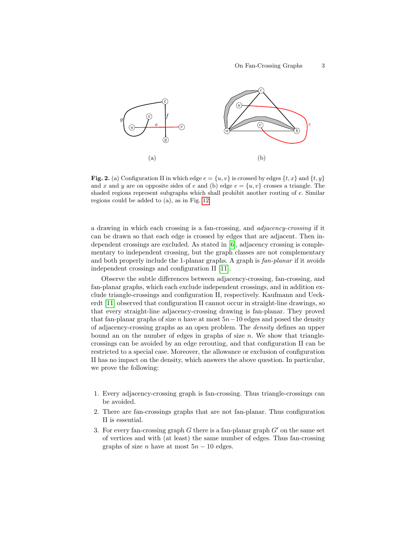<span id="page-2-1"></span><span id="page-2-0"></span>

Fig. 2. (a) Configuration II in which edge  $e = \{u, v\}$  is crossed by edges  $\{t, x\}$  and  $\{t, y\}$ and x and y are on opposite sides of e and (b) edge  $e = \{u, v\}$  crosses a triangle. The shaded regions represent subgraphs which shall prohibit another routing of e. Similar regions could be added to (a), as in Fig. [12.](#page-16-0)

a drawing in which each crossing is a fan-crossing, and adjacency-crossing if it can be drawn so that each edge is crossed by edges that are adjacent. Then independent crossings are excluded. As stated in [\[6\]](#page-18-5), adjacency crossing is complementary to independent crossing, but the graph classes are not complementary and both properly include the 1-planar graphs. A graph is  $fan-planar$  if it avoids independent crossings and configuration II [\[11\]](#page-18-3).

Observe the subtle differences between adjacency-crossing, fan-crossing, and fan-planar graphs, which each exclude independent crossings, and in addition exclude triangle-crossings and configuration II, respectively. Kaufmann and Ueckerdt [\[11\]](#page-18-3) observed that configuration II cannot occur in straight-line drawings, so that every straight-line adjacency-crossing drawing is fan-planar. They proved that fan-planar graphs of size n have at most  $5n-10$  edges and posed the density of adjacency-crossing graphs as an open problem. The density defines an upper bound an on the number of edges in graphs of size  $n$ . We show that trianglecrossings can be avoided by an edge rerouting, and that configuration II can be restricted to a special case. Moreover, the allowance or exclusion of configuration II has no impact on the density, which answers the above question. In particular, we prove the following:

- 1. Every adjacency-crossing graph is fan-crossing. Thus triangle-crossings can be avoided.
- 2. There are fan-crossings graphs that are not fan-planar. Thus configuration II is essential.
- 3. For every fan-crossing graph G there is a fan-planar graph  $G'$  on the same set of vertices and with (at least) the same number of edges. Thus fan-crossing graphs of size *n* have at most  $5n - 10$  edges.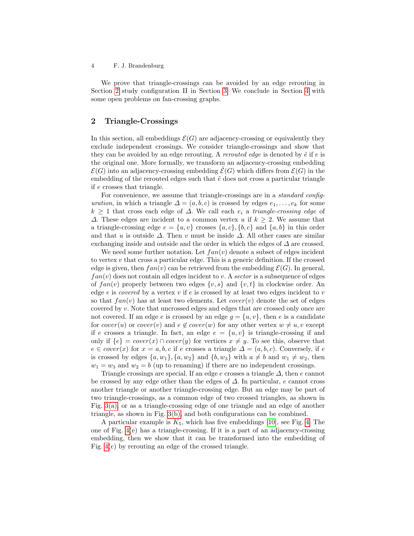We prove that triangle-crossings can be avoided by an edge rerouting in Section [2](#page-3-0) study configuration II in Section [3.](#page-12-0) We conclude in Section [4](#page-17-3) with some open problems on fan-crossing graphs.

# <span id="page-3-0"></span>2 Triangle-Crossings

In this section, all embeddings  $\mathcal{E}(G)$  are adjacency-crossing or equivalently they exclude independent crossings. We consider triangle-crossings and show that they can be avoided by an edge rerouting. A *rerouted edge* is denoted by  $\tilde{e}$  if e is the original one. More formally, we transform an adjacency-crossing embedding  $\mathcal{E}(G)$  into an adjacency-crossing embedding  $\mathcal{E}(G)$  which differs from  $\mathcal{E}(G)$  in the embedding of the rerouted edges such that  $\tilde{e}$  does not cross a particular triangle if e crosses that triangle.

For convenience, we assume that triangle-crossings are in a *standard config*uration, in which a triangle  $\Delta = (a, b, c)$  is crossed by edges  $e_1, \ldots, e_k$  for some  $k \geq 1$  that cross each edge of  $\Delta$ . We call each  $e_i$  a triangle-crossing edge of  $\Delta$ . These edges are incident to a common vertex u if  $k \geq 2$ . We assume that a triangle-crossing edge  $e = \{u, v\}$  crosses  $\{a, c\}, \{b, c\}$  and  $\{a, b\}$  in this order and that u is outside  $\Delta$ . Then v must be inside  $\Delta$ . All other cases are similar exchanging inside and outside and the order in which the edges of  $\Delta$  are crossed.

We need some further notation. Let  $fan(v)$  denote a subset of edges incident to vertex  $v$  that cross a particular edge. This is a generic definition. If the crossed edge is given, then  $fan(v)$  can be retrieved from the embedding  $\mathcal{E}(G)$ . In general,  $fan(v)$  does not contain all edges incident to v. A sector is a subsequence of edges of  $fan(v)$  properly between two edges  $\{v, s\}$  and  $\{v, t\}$  in clockwise order. An edge  $e$  is *covered* by a vertex  $v$  if  $e$  is crossed by at least two edges incident to  $v$ so that  $fan(v)$  has at least two elements. Let  $cover(v)$  denote the set of edges covered by v. Note that uncrossed edges and edges that are crossed only once are not covered. If an edge e is crossed by an edge  $q = \{u, v\}$ , then e is a candidate for cover $(u)$  or cover $(v)$  and  $e \notin cover(w)$  for any other vertex  $w \neq u, v$  except if e crosses a triangle. In fact, an edge  $e = \{u, v\}$  is triangle-crossing if and only if  $\{e\} = cover(x) \cap cover(y)$  for vertices  $x \neq y$ . To see this, observe that  $e \in cover(x)$  for  $x = a, b, c$  if e crosses a triangle  $\Delta = (a, b, c)$ . Conversely, if e is crossed by edges  $\{a, w_1\}, \{a, w_2\}$  and  $\{b, w_3\}$  with  $a \neq b$  and  $w_1 \neq w_2$ , then  $w_1 = w_3$  and  $w_2 = b$  (up to renaming) if there are no independent crossings.

Triangle crossings are special. If an edge e crosses a triangle  $\Delta$ , then e cannot be crossed by any edge other than the edges of  $\Delta$ . In particular, e cannot cross another triangle or another triangle-crossing edge. But an edge may be part of two triangle-crossings, as a common edge of two crossed triangles, as shown in Fig. [3\(a\),](#page-4-0) or as a triangle-crossing edge of one triangle and an edge of another triangle, as shown in Fig. [3\(b\),](#page-4-1) and both configurations can be combined.

A particular example is  $K_5$ , which has five embeddings [\[10\]](#page-18-6), see Fig. [4.](#page-4-2) The one of Fig. [4\(](#page-4-2)e) has a triangle-crossing. If it is a part of an adjacency-crossing embedding, then we show that it can be transformed into the embedding of Fig. [4\(](#page-4-2)c) by rerouting an edge of the crossed triangle.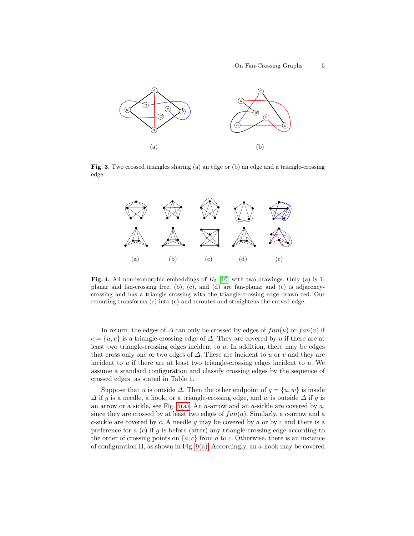<span id="page-4-1"></span><span id="page-4-0"></span>

Fig. 3. Two crossed triangles sharing (a) an edge or (b) an edge and a triangle-crossing edge.



<span id="page-4-2"></span>Fig. 4. All non-isomorphic embeddings of  $K_5$  [\[10\]](#page-18-6) with two drawings. Only (a) is 1planar and fan-crossing free, (b), (c), and (d) are fan-planar and (e) is adjacencycrossing and has a triangle crossing with the triangle-crossing edge drawn red. Our rerouting transforms (e) into (c) and reroutes and straightens the curved edge.

In return, the edges of  $\Delta$  can only be crossed by edges of  $fan(u)$  or  $fan(v)$  if  $e = \{u, v\}$  is a triangle-crossing edge of  $\Delta$ . They are covered by u if there are at least two triangle-crossing edges incident to  $u$ . In addition, there may be edges that cross only one or two edges of  $\Delta$ . These are incident to u or v and they are incident to  $u$  if there are at least two triangle-crossing edges incident to  $u$ . We assume a standard configuration and classify crossing edges by the sequence of crossed edges, as stated in Table 1.

Suppose that u is outside  $\Delta$ . Then the other endpoint of  $g = \{u, w\}$  is inside  $\Delta$  if g is a needle, a hook, or a triangle-crossing edge, and w is outside  $\Delta$  if g is an arrow or a sickle, see Fig.  $5(a)$ . An a-arrow and an a-sickle are covered by a, since they are crossed by at least two edges of  $fan(a)$ . Similarly, a c-arrow and a c-sickle are covered by c. A needle  $g$  may be covered by  $a$  or by  $c$  and there is a preference for  $a(c)$  if g is before (after) any triangle-crossing edge according to the order of crossing points on  $\{a, c\}$  from a to c. Otherwise, there is an instance of configuration II, as shown in Fig.  $9(a)$ . Accordingly, an a-hook may be covered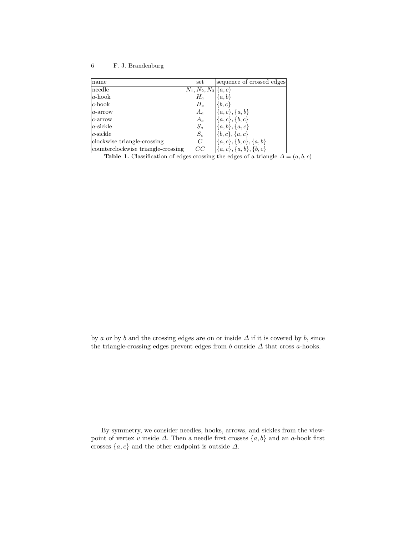| name                               | set                       | sequence of crossed edges     |
|------------------------------------|---------------------------|-------------------------------|
| needle                             | $ N_1, N_2, N_3 \{a, c\}$ |                               |
| $ a\text{-hook} $                  | $H_a$                     | $\{a,b\}$                     |
| $ c\text{-hook} $                  | $H_c$                     | $\{b,c\}$                     |
| $ a\text{-arrow} $                 | $A_a$                     | $\{a,c\}, \{a,b\}$            |
| $c$ -arrow                         | $A_c$                     | $\{a, c\}, \{b, c\}$          |
| $ a\text{-sickle} $                | $S_a$                     | $\{a, b\}, \{a, c\}$          |
| $ c\text{-sickle} $                | $S_c$                     | $\{\{b,c\},\{a,c\}\}$         |
| clockwise triangle-crossing        | C                         | $\{\{a,c\},\{b,c\},\{a,b\}\}$ |
| counterclockwise triangle-crossing | CC                        | $\{a,c\}, \{a,b\}, \{b,c\}$   |

Table 1. Classification of edges crossing the edges of a triangle  $\Delta = (a, b, c)$ 

by a or by b and the crossing edges are on or inside  $\Delta$  if it is covered by b, since the triangle-crossing edges prevent edges from  $b$  outside  $\Delta$  that cross  $a$ -hooks.

By symmetry, we consider needles, hooks, arrows, and sickles from the viewpoint of vertex v inside  $\Delta$ . Then a needle first crosses  $\{a, b\}$  and an a-hook first crosses  $\{a, c\}$  and the other endpoint is outside  $\Delta$ .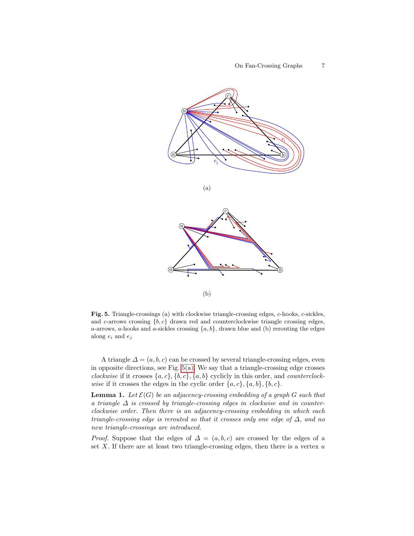<span id="page-6-0"></span>

<span id="page-6-1"></span>Fig. 5. Triangle-crossings (a) with clockwise triangle-crossing edges, c-hooks, c-sickles, and c-arrows crossing  $\{b, c\}$  drawn red and counterclockwise triangle crossing edges, a-arrows, a-hooks and a-sickles crossing  $\{a, b\}$ , drawn blue and (b) rerouting the edges along  $e_i$  and  $e_j$ 

A triangle  $\Delta = (a, b, c)$  can be crossed by several triangle-crossing edges, even in opposite directions, see Fig. [5\(a\).](#page-6-0) We say that a triangle-crossing edge crosses clockwise if it crosses  $\{a, c\}, \{b, c\}, \{a, b\}$  cyclicly in this order, and *counterclock*wise if it crosses the edges in the cyclic order  $\{a, c\}, \{a, b\}, \{b, c\}.$ 

<span id="page-6-2"></span>**Lemma 1.** Let  $\mathcal{E}(G)$  be an adjacency-crossing embedding of a graph G such that a triangle  $\Delta$  is crossed by triangle-crossing edges in clockwise and in counterclockwise order. Then there is an adjacency-crossing embedding in which each triangle-crossing edge is rerouted so that it crosses only one edge of  $\Delta$ , and no new triangle-crossings are introduced.

*Proof.* Suppose that the edges of  $\Delta = (a, b, c)$  are crossed by the edges of a set  $X$ . If there are at least two triangle-crossing edges, then there is a vertex  $u$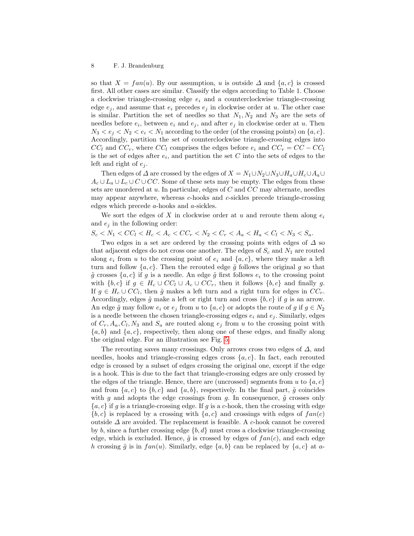so that  $X = fan(u)$ . By our assumption, u is outside  $\Delta$  and  $\{a, c\}$  is crossed first. All other cases are similar. Classify the edges according to Table 1. Choose a clockwise triangle-crossing edge  $e_i$  and a counterclockwise triangle-crossing edge  $e_j$ , and assume that  $e_i$  precedes  $e_j$  in clockwise order at u. The other case is similar. Partition the set of needles so that  $N_1, N_2$  and  $N_3$  are the sets of needles before  $e_i$ , between  $e_i$  and  $e_j$ , and after  $e_j$  in clockwise order at u. Then  $N_3 < e_i < N_2 < e_i < N_1$  according to the order (of the crossing points) on  $\{a, c\}$ . Accordingly, partition the set of counterclockwise triangle-crossing edges into  $CC_l$  and  $CC_r$ , where  $CC_l$  comprises the edges before  $e_i$  and  $CC_r = CC - CC_l$ is the set of edges after  $e_i$ , and partition the set C into the sets of edges to the left and right of  $e_i$ .

Then edges of  $\Delta$  are crossed by the edges of  $X = N_1 \cup N_2 \cup N_3 \cup H_a \cup H_c \cup A_a \cup$  $A_c \cup L_a \cup L_c \cup C \cup CC$ . Some of these sets may be empty. The edges from these sets are unordered at  $u$ . In particular, edges of  $C$  and  $CC$  may alternate, needles may appear anywhere, whereas c-hooks and c-sickles precede triangle-crossing edges which precede a-hooks and a-sickles.

We sort the edges of  $X$  in clockwise order at  $u$  and reroute them along  $e_i$ and  $e_i$  in the following order:

 $S_c < N_1 < CC_l < H_c < A_c < CC_r < N_2 < C_r < A_a < H_a < C_l < N_3 < S_a.$ 

Two edges in a set are ordered by the crossing points with edges of  $\Delta$  so that adjacent edges do not cross one another. The edges of  $S_c$  and  $N_1$  are routed along  $e_i$  from u to the crossing point of  $e_i$  and  $\{a, c\}$ , where they make a left turn and follow  $\{a, c\}$ . Then the rerouted edge  $\tilde{g}$  follows the original g so that  $\tilde{g}$  crosses  $\{a, c\}$  if g is a needle. An edge  $\tilde{g}$  first follows  $e_i$  to the crossing point with  ${b, c}$  if  $g \in H_c \cup CC_l \cup A_c \cup CC_r$ , then it follows  ${b, c}$  and finally g. If  $g \in H_c \cup CC_l$ , then  $\tilde{g}$  makes a left turn and a right turn for edges in  $CC_r$ . Accordingly, edges  $\tilde{g}$  make a left or right turn and cross  $\{b, c\}$  if g is an arrow. An edge  $\tilde{g}$  may follow  $e_i$  or  $e_j$  from u to  $\{a, c\}$  or adopts the route of g if  $g \in N_2$ is a needle between the chosen triangle-crossing edges  $e_i$  and  $e_j$ . Similarly, edges of  $C_r$ ,  $A_a$ ,  $C_l$ ,  $N_3$  and  $S_a$  are routed along  $e_j$  from u to the crossing point with  ${a, b}$  and  ${a, c}$ , respectively, then along one of these edges, and finally along the original edge. For an illustration see Fig. [5.](#page-6-1)

The rerouting saves many crossings. Only arrows cross two edges of  $\Delta$ , and needles, hooks and triangle-crossing edges cross  $\{a, c\}$ . In fact, each rerouted edge is crossed by a subset of edges crossing the original one, except if the edge is a hook. This is due to the fact that triangle-crossing edges are only crossed by the edges of the triangle. Hence, there are (uncrossed) segments from u to  $\{a, c\}$ and from  $\{a, c\}$  to  $\{b, c\}$  and  $\{a, b\}$ , respectively. In the final part,  $\tilde{g}$  coincides with g and adopts the edge crossings from g. In consequence,  $\tilde{g}$  crosses only  ${a, c}$  if g is a triangle-crossing edge. If g is a c-hook, then the crossing with edge  ${b, c}$  is replaced by a crossing with  ${a, c}$  and crossings with edges of  $fan(c)$ outside  $\Delta$  are avoided. The replacement is feasible. A c-hook cannot be covered by b, since a further crossing edge  $\{b, d\}$  must cross a clockwise triangle-crossing edge, which is excluded. Hence,  $\tilde{g}$  is crossed by edges of  $fan(c)$ , and each edge h crossing  $\tilde{g}$  is in  $fan(u)$ . Similarly, edge  $\{a, b\}$  can be replaced by  $\{a, c\}$  at a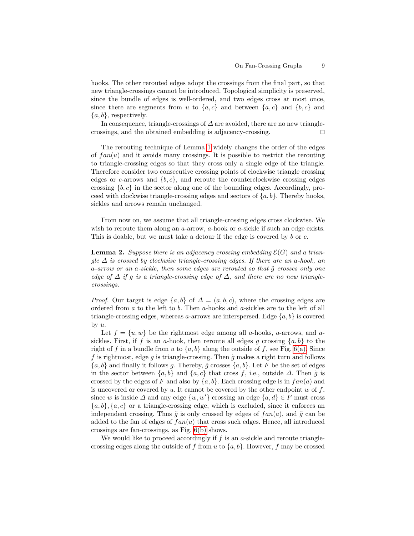hooks. The other rerouted edges adopt the crossings from the final part, so that new triangle-crossings cannot be introduced. Topological simplicity is preserved, since the bundle of edges is well-ordered, and two edges cross at most once, since there are segments from u to  $\{a, c\}$  and between  $\{a, c\}$  and  $\{b, c\}$  and  $\{a, b\}$ , respectively.

In consequence, triangle-crossings of  $\Delta$  are avoided, there are no new trianglecrossings, and the obtained embedding is adjacency-crossing.  $\Box$ 

The rerouting technique of Lemma [1](#page-6-2) widely changes the order of the edges of  $fan(u)$  and it avoids many crossings. It is possible to restrict the rerouting to triangle-crossing edges so that they cross only a single edge of the triangle. Therefore consider two consecutive crossing points of clockwise triangle crossing edges or c-arrows and  $\{b, c\}$ , and reroute the counterclockwise crossing edges crossing  ${b, c}$  in the sector along one of the bounding edges. Accordingly, proceed with clockwise triangle-crossing edges and sectors of  $\{a, b\}$ . Thereby hooks, sickles and arrows remain unchanged.

From now on, we assume that all triangle-crossing edges cross clockwise. We wish to reroute them along an  $a$ -arrow,  $a$ -hook or  $a$ -sickle if such an edge exists. This is doable, but we must take a detour if the edge is covered by b or c.

<span id="page-8-0"></span>**Lemma 2.** Suppose there is an adjacency crossing embedding  $\mathcal{E}(G)$  and a triangle  $\Delta$  is crossed by clockwise triangle-crossing edges. If there are an a-hook, an a-arrow or an a-sickle, then some edges are rerouted so that  $\tilde{q}$  crosses only one edge of  $\Delta$  if q is a triangle-crossing edge of  $\Delta$ , and there are no new trianglecrossings.

*Proof.* Our target is edge  $\{a, b\}$  of  $\Delta = (a, b, c)$ , where the crossing edges are ordered from a to the left to b. Then a-hooks and a-sickles are to the left of all triangle-crossing edges, whereas a-arrows are interspersed. Edge  $\{a, b\}$  is covered by  $u$ .

Let  $f = \{u, w\}$  be the rightmost edge among all a-hooks, a-arrows, and asickles. First, if f is an a-hook, then reroute all edges q crossing  $\{a, b\}$  to the right of f in a bundle from u to  $\{a, b\}$  along the outside of f, see Fig. [6\(a\).](#page-10-0) Since f is rightmost, edge q is triangle-crossing. Then  $\tilde{q}$  makes a right turn and follows  ${a, b}$  and finally it follows g. Thereby,  $\tilde{g}$  crosses  ${a, b}$ . Let F be the set of edges in the sector between  $\{a, b\}$  and  $\{a, c\}$  that cross f, i.e., outside  $\Delta$ . Then  $\tilde{q}$  is crossed by the edges of F and also by  $\{a, b\}$ . Each crossing edge is in  $fan(a)$  and is uncovered or covered by u. It cannot be covered by the other endpoint w of  $f$ , since w is inside  $\Delta$  and any edge  $\{w, w'\}$  crossing an edge  $\{a, d\} \in F$  must cross  ${a, b}$ ,  ${a, c}$  or a triangle-crossing edge, which is excluded, since it enforces an independent crossing. Thus  $\tilde{g}$  is only crossed by edges of  $fan(a)$ , and  $\tilde{g}$  can be added to the fan of edges of  $fan(u)$  that cross such edges. Hence, all introduced crossings are fan-crossings, as Fig. [6\(b\)](#page-10-1) shows.

We would like to proceed accordingly if  $f$  is an  $a$ -sickle and reroute trianglecrossing edges along the outside of f from u to  $\{a, b\}$ . However, f may be crossed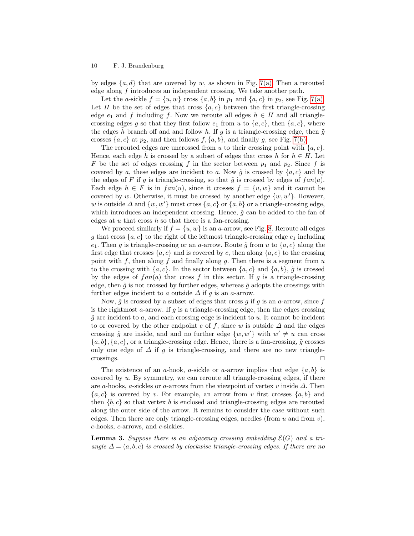by edges  $\{a, d\}$  that are covered by w, as shown in Fig. [7\(a\).](#page-10-2) Then a rerouted edge along f introduces an independent crossing. We take another path.

Let the a-sickle  $f = \{u, w\}$  cross  $\{a, b\}$  in  $p_1$  and  $\{a, c\}$  in  $p_2$ , see Fig. [7\(a\).](#page-10-2) Let H be the set of edges that cross  $\{a, c\}$  between the first triangle-crossing edge  $e_1$  and f including f. Now we reroute all edges  $h \in H$  and all trianglecrossing edges g so that they first follow  $e_1$  from u to  $\{a, c\}$ , then  $\{a, c\}$ , where the edges  $\tilde{h}$  branch off and and follow h. If g is a triangle-crossing edge, then  $\tilde{g}$ crosses  $\{a, c\}$  at  $p_2$ , and then follows  $f, \{a, b\}$ , and finally g, see Fig. [7\(b\).](#page-10-3)

The rerouted edges are uncrossed from u to their crossing point with  $\{a, c\}$ . Hence, each edge h is crossed by a subset of edges that cross h for  $h \in H$ . Let F be the set of edges crossing f in the sector between  $p_1$  and  $p_2$ . Since f is covered by a, these edges are incident to a. Now  $\tilde{g}$  is crossed by  $\{a, c\}$  and by the edges of F if q is triangle-crossing, so that  $\tilde{q}$  is crossed by edges of  $fan(a)$ . Each edge  $h \in F$  is in  $fan(u)$ , since it crosses  $f = \{u, w\}$  and it cannot be covered by w. Otherwise, it must be crossed by another edge  $\{w, w'\}$ . However, w is outside  $\Delta$  and  $\{w, w'\}$  must cross  $\{a, c\}$  or  $\{a, b\}$  or a triangle-crossing edge, which introduces an independent crossing. Hence,  $\tilde{g}$  can be added to the fan of edges at  $u$  that cross  $h$  so that there is a fan-crossing.

We proceed similarly if  $f = \{u, w\}$  is an a-arrow, see Fig. [8.](#page-10-4) Reroute all edges g that cross  $\{a, c\}$  to the right of the leftmost triangle-crossing edge  $e_1$  including  $e_1$ . Then g is triangle-crossing or an a-arrow. Route  $\tilde{g}$  from u to  $\{a, c\}$  along the first edge that crosses  $\{a, c\}$  and is covered by c, then along  $\{a, c\}$  to the crossing point with f, then along f and finally along  $q$ . Then there is a segment from  $u$ to the crossing with  $\{a, c\}$ . In the sector between  $\{a, c\}$  and  $\{a, b\}$ ,  $\tilde{q}$  is crossed by the edges of  $fan(a)$  that cross f in this sector. If g is a triangle-crossing edge, then  $\tilde{g}$  is not crossed by further edges, whereas  $\tilde{g}$  adopts the crossings with further edges incident to a outside  $\Delta$  if g is an a-arrow.

Now,  $\tilde{g}$  is crossed by a subset of edges that cross g if g is an a-arrow, since f is the rightmost  $a$ -arrow. If  $g$  is a triangle-crossing edge, then the edges crossing  $\tilde{q}$  are incident to a, and each crossing edge is incident to u. It cannot be incident to or covered by the other endpoint e of f, since w is outside  $\Delta$  and the edges crossing  $\tilde{g}$  are inside, and and no further edge  $\{w, w'\}$  with  $w' \neq u$  can cross  ${a, b}$ ,  ${a, c}$ , or a triangle-crossing edge. Hence, there is a fan-crossing,  $\tilde{g}$  crosses only one edge of  $\Delta$  if g is triangle-crossing, and there are no new triangle- $\Box$ crossings.

The existence of an a-hook, a-sickle or a-arrow implies that edge  $\{a, b\}$  is covered by u. By symmetry, we can reroute all triangle-crossing edges, if there are a-hooks, a-sickles or a-arrows from the viewpoint of vertex v inside  $\Delta$ . Then  ${a, c}$  is covered by v. For example, an arrow from v first crosses  ${a, b}$  and then  ${b, c}$  so that vertex b is enclosed and triangle-crossing edges are rerouted along the outer side of the arrow. It remains to consider the case without such edges. Then there are only triangle-crossing edges, needles (from  $u$  and from  $v$ ), c-hooks, c-arrows, and c-sickles.

<span id="page-9-0"></span>**Lemma 3.** Suppose there is an adjacency crossing embedding  $\mathcal{E}(G)$  and a triangle  $\Delta = (a, b, c)$  is crossed by clockwise triangle-crossing edges. If there are no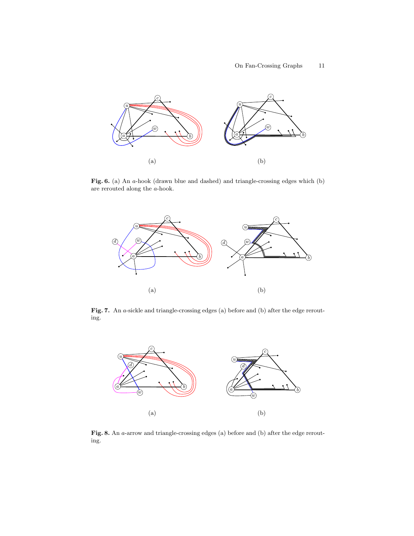<span id="page-10-1"></span><span id="page-10-0"></span>

Fig. 6. (a) An a-hook (drawn blue and dashed) and triangle-crossing edges which (b) are rerouted along the a-hook.

<span id="page-10-3"></span><span id="page-10-2"></span>

Fig. 7. An a-sickle and triangle-crossing edges (a) before and (b) after the edge rerouting.



<span id="page-10-4"></span>Fig. 8. An *a*-arrow and triangle-crossing edges (a) before and (b) after the edge rerouting.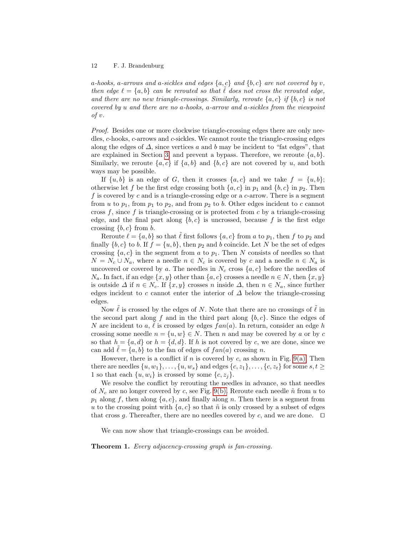a-hooks, a-arrows and a-sickles and edges  $\{a, c\}$  and  $\{b, c\}$  are not covered by v, then edge  $\ell = \{a, b\}$  can be rerouted so that  $\ell$  does not cross the rerouted edge, and there are no new triangle-crossings. Similarly, reroute  $\{a, c\}$  if  $\{b, c\}$  is not covered by u and there are no a-hooks, a-arrow and a-sickles from the viewpoint of v.

Proof. Besides one or more clockwise triangle-crossing edges there are only needles, c-hooks, c-arrows and c-sickles. We cannot route the triangle-crossing edges along the edges of  $\Delta$ , since vertices a and b may be incident to "fat edges", that are explained in Section [3,](#page-12-0) and prevent a bypass. Therefore, we reroute  $\{a, b\}$ . Similarly, we reroute  $\{a, c\}$  if  $\{a, b\}$  and  $\{b, c\}$  are not covered by u, and both ways may be possible.

If  $\{u, b\}$  is an edge of G, then it crosses  $\{a, c\}$  and we take  $f = \{u, b\};$ otherwise let f be the first edge crossing both  $\{a, c\}$  in  $p_1$  and  $\{b, c\}$  in  $p_2$ . Then f is covered by c and is a triangle-crossing edge or a c-arrow. There is a segment from u to  $p_1$ , from  $p_1$  to  $p_2$ , and from  $p_2$  to b. Other edges incident to c cannot cross  $f$ , since  $f$  is triangle-crossing or is protected from  $c$  by a triangle-crossing edge, and the final part along  $\{b, c\}$  is uncrossed, because f is the first edge crossing  ${b, c}$  from b.

Reroute  $\ell = \{a, b\}$  so that  $\ell$  first follows  $\{a, c\}$  from a to  $p_1$ , then f to  $p_2$  and finally  $\{b, c\}$  to b. If  $f = \{u, b\}$ , then  $p_2$  and b coincide. Let N be the set of edges crossing  $\{a, c\}$  in the segment from a to  $p_1$ . Then N consists of needles so that  $N = N_c \cup N_a$ , where a needle  $n \in N_c$  is covered by c and a needle  $n \in N_a$  is uncovered or covered by a. The needles in  $N_c$  cross  $\{a, c\}$  before the needles of  $N_a$ . In fact, if an edge  $\{x, y\}$  other than  $\{a, c\}$  crosses a needle  $n \in N$ , then  $\{x, y\}$ is outside  $\Delta$  if  $n \in N_c$ . If  $\{x, y\}$  crosses n inside  $\Delta$ , then  $n \in N_a$ , since further edges incident to c cannot enter the interior of  $\Delta$  below the triangle-crossing edges.

Now  $\ell$  is crossed by the edges of N. Note that there are no crossings of  $\ell$  in the second part along f and in the third part along  ${b, c}$ . Since the edges of N are incident to a,  $\tilde{\ell}$  is crossed by edges  $fan(a)$ . In return, consider an edge h crossing some needle  $n = \{u, w\} \in N$ . Then n and may be covered by a or by c so that  $h = \{a, d\}$  or  $h = \{d, d\}$ . If h is not covered by c, we are done, since we can add  $\ell = \{a, b\}$  to the fan of edges of  $fan(a)$  crossing n.

However, there is a conflict if n is covered by c, as shown in Fig. [9\(a\).](#page-12-1) Then there are needles  $\{u, w_1\}, \ldots, \{u, w_s\}$  and edges  $\{c, z_1\}, \ldots, \{c, z_t\}$  for some  $s, t \geq$ 1 so that each  $\{u, w_i\}$  is crossed by some  $\{c, z_i\}.$ 

We resolve the conflict by rerouting the needles in advance, so that needles of  $N_c$  are no longer covered by c, see Fig. [9\(b\).](#page-12-2) Reroute each needle  $\tilde{n}$  from u to  $p_1$  along f, then along  $\{a, c\}$ , and finally along n. Then there is a segment from u to the crossing point with  $\{a, c\}$  so that  $\tilde{n}$  is only crossed by a subset of edges that cross g. Thereafter, there are no needles covered by c, and we are done.  $\Box$ 

We can now show that triangle-crossings can be avoided.

<span id="page-11-0"></span>Theorem 1. Every adjacency-crossing graph is fan-crossing.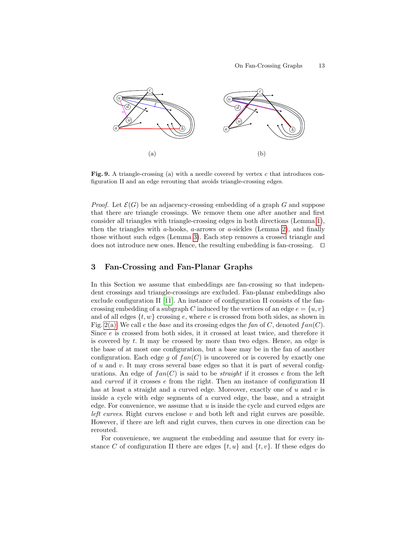<span id="page-12-2"></span><span id="page-12-1"></span>

Fig. 9. A triangle-crossing (a) with a needle covered by vertex  $c$  that introduces configuration II and an edge rerouting that avoids triangle-crossing edges.

*Proof.* Let  $\mathcal{E}(G)$  be an adjacency-crossing embedding of a graph G and suppose that there are triangle crossings. We remove them one after another and first consider all triangles with triangle-crossing edges in both directions (Lemma [1\)](#page-6-2), then the triangles with a-hooks, a-arrows or a-sickles (Lemma [2\)](#page-8-0), and finally those without such edges (Lemma [3\)](#page-9-0). Each step removes a crossed triangle and does not introduce new ones. Hence, the resulting embedding is fan-crossing.  $\Box$ 

# <span id="page-12-0"></span>3 Fan-Crossing and Fan-Planar Graphs

In this Section we assume that embeddings are fan-crossing so that independent crossings and triangle-crossings are excluded. Fan-planar embeddings also exclude configuration II [\[11\]](#page-18-3). An instance of configuration II consists of the fancrossing embedding of a subgraph C induced by the vertices of an edge  $e = \{u, v\}$ and of all edges  $\{t, w\}$  crossing e, where e is crossed from both sides, as shown in Fig. [2\(a\).](#page-2-0) We call e the base and its crossing edges the fan of C, denoted  $fan(C)$ . Since  $e$  is crossed from both sides, it it crossed at least twice, and therefore it is covered by t. It may be crossed by more than two edges. Hence, an edge is the base of at most one configuration, but a base may be in the fan of another configuration. Each edge g of  $fan(C)$  is uncovered or is covered by exactly one of  $u$  and  $v$ . It may cross several base edges so that it is part of several configurations. An edge of  $fan(C)$  is said to be *straight* if it crosses e from the left and curved if it crosses e from the right. Then an instance of configuration II has at least a straight and a curved edge. Moreover, exactly one of  $u$  and  $v$  is inside a cycle with edge segments of a curved edge, the base, and a straight edge. For convenience, we assume that  $u$  is inside the cycle and curved edges are *left curves.* Right curves enclose  $v$  and both left and right curves are possible. However, if there are left and right curves, then curves in one direction can be rerouted.

For convenience, we augment the embedding and assume that for every instance C of configuration II there are edges  $\{t, u\}$  and  $\{t, v\}$ . If these edges do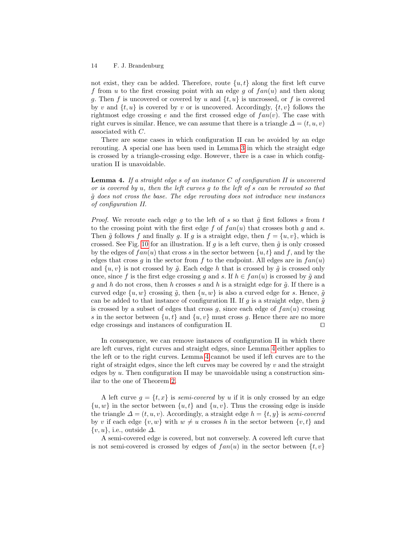not exist, they can be added. Therefore, route  $\{u, t\}$  along the first left curve f from u to the first crossing point with an edge g of  $fan(u)$  and then along g. Then f is uncovered or covered by u and  $\{t, u\}$  is uncrossed, or f is covered by v and  $\{t, u\}$  is covered by v or is uncovered. Accordingly,  $\{t, v\}$  follows the rightmost edge crossing e and the first crossed edge of  $fan(v)$ . The case with right curves is similar. Hence, we can assume that there is a triangle  $\Delta = (t, u, v)$ associated with C.

There are some cases in which configuration II can be avoided by an edge rerouting. A special one has been used in Lemma [3](#page-9-0) in which the straight edge is crossed by a triangle-crossing edge. However, there is a case in which configuration II is unavoidable.

<span id="page-13-0"></span>**Lemma 4.** If a straight edge s of an instance  $C$  of configuration II is uncovered or is covered by u, then the left curves g to the left of s can be rerouted so that  $\tilde{q}$  does not cross the base. The edge rerouting does not introduce new instances of configuration II.

*Proof.* We reroute each edge g to the left of s so that  $\tilde{g}$  first follows s from t to the crossing point with the first edge f of  $fan(u)$  that crosses both g and s. Then  $\tilde{q}$  follows f and finally g. If g is a straight edge, then  $f = \{u, v\}$ , which is crossed. See Fig. [10](#page-14-0) for an illustration. If g is a left curve, then  $\tilde{g}$  is only crossed by the edges of  $fan(u)$  that cross s in the sector between  $\{u, t\}$  and f, and by the edges that cross g in the sector from f to the endpoint. All edges are in  $fan(u)$ and  $\{u, v\}$  is not crossed by  $\tilde{g}$ . Each edge h that is crossed by  $\tilde{g}$  is crossed only once, since f is the first edge crossing q and s. If  $h \in fan(u)$  is crossed by  $\tilde{q}$  and g and h do not cross, then h crosses s and h is a straight edge for  $\tilde{g}$ . If there is a curved edge  $\{u, w\}$  crossing  $\tilde{q}$ , then  $\{u, w\}$  is also a curved edge for s. Hence,  $\tilde{q}$ can be added to that instance of configuration II. If g is a straight edge, then  $\tilde{g}$ is crossed by a subset of edges that cross q, since each edge of  $fan(u)$  crossing s in the sector between  $\{u, t\}$  and  $\{u, v\}$  must cross q. Hence there are no more edge crossings and instances of configuration II.  $\Box$ 

In consequence, we can remove instances of configuration II in which there are left curves, right curves and straight edges, since Lemma [4](#page-13-0) either applies to the left or to the right curves. Lemma [4](#page-13-0) cannot be used if left curves are to the right of straight edges, since the left curves may be covered by  $v$  and the straight edges by  $u$ . Then configuration II may be unavoidable using a construction similar to the one of Theorem [2.](#page-14-1)

A left curve  $g = \{t, x\}$  is semi-covered by u if it is only crossed by an edge  ${u, w}$  in the sector between  ${u, t}$  and  ${u, v}$ . Thus the crossing edge is inside the triangle  $\Delta = (t, u, v)$ . Accordingly, a straight edge  $h = \{t, y\}$  is semi-covered by v if each edge  $\{v, w\}$  with  $w \neq u$  crosses h in the sector between  $\{v, t\}$  and  $\{v, u\}$ , i.e., outside  $\Delta$ .

A semi-covered edge is covered, but not conversely. A covered left curve that is not semi-covered is crossed by edges of  $fan(u)$  in the sector between  $\{t, v\}$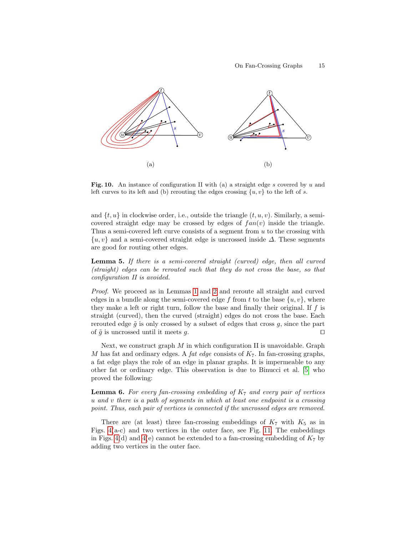

<span id="page-14-0"></span>Fig. 10. An instance of configuration II with (a) a straight edge  $s$  covered by  $u$  and left curves to its left and (b) rerouting the edges crossing  $\{u, v\}$  to the left of s.

and  $\{t, u\}$  in clockwise order, i.e., outside the triangle  $(t, u, v)$ . Similarly, a semicovered straight edge may be crossed by edges of  $fan(v)$  inside the triangle. Thus a semi-covered left curve consists of a segment from  $u$  to the crossing with  $\{u, v\}$  and a semi-covered straight edge is uncrossed inside  $\Delta$ . These segments are good for routing other edges.

Lemma 5. If there is a semi-covered straight (curved) edge, then all curved (straight) edges can be rerouted such that they do not cross the base, so that configuration II is avoided.

Proof. We proceed as in Lemmas [1](#page-6-2) and [2](#page-8-0) and reroute all straight and curved edges in a bundle along the semi-covered edge f from t to the base  $\{u, v\}$ , where they make a left or right turn, follow the base and finally their original. If  $f$  is straight (curved), then the curved (straight) edges do not cross the base. Each rerouted edge  $\tilde{g}$  is only crossed by a subset of edges that cross  $g$ , since the part of  $\tilde{g}$  is uncrossed until it meets g.

Next, we construct graph  $M$  in which configuration II is unavoidable. Graph M has fat and ordinary edges. A *fat edge* consists of  $K_7$ . In fan-crossing graphs, a fat edge plays the role of an edge in planar graphs. It is impermeable to any other fat or ordinary edge. This observation is due to Binucci et al. [\[5\]](#page-18-2) who proved the following:

**Lemma 6.** For every fan-crossing embedding of  $K_7$  and every pair of vertices u and v there is a path of segments in which at least one endpoint is a crossing point. Thus, each pair of vertices is connected if the uncrossed edges are removed.

<span id="page-14-1"></span>There are (at least) three fan-crossing embeddings of  $K_7$  with  $K_5$  as in Figs. [4\(](#page-4-2)a-c) and two vertices in the outer face, see Fig. [11.](#page-15-0) The embeddings in Figs. [4\(](#page-4-2)d) and 4(e) cannot be extended to a fan-crossing embedding of  $K_7$  by adding two vertices in the outer face.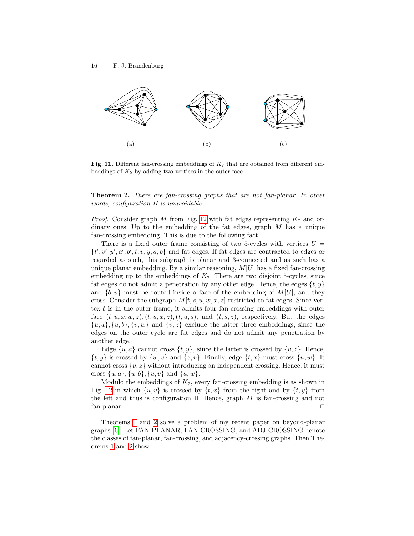

<span id="page-15-0"></span>**Fig. 11.** Different fan-crossing embeddings of  $K_7$  that are obtained from different embeddings of  $K_5$  by adding two vertices in the outer face

**Theorem 2.** There are fan-crossing graphs that are not fan-planar. In other words, configuration II is unavoidable.

*Proof.* Consider graph M from Fig. [12](#page-16-0) with fat edges representing  $K_7$  and ordinary ones. Up to the embedding of the fat edges, graph M has a unique fan-crossing embedding. This is due to the following fact.

There is a fixed outer frame consisting of two 5-cycles with vertices  $U =$  $\{t', v', y', a', b', t, v, y, a, b\}$  and fat edges. If fat edges are contracted to edges or regarded as such, this subgraph is planar and 3-connected and as such has a unique planar embedding. By a similar reasoning,  $M[U]$  has a fixed fan-crossing embedding up to the embeddings of  $K<sub>7</sub>$ . There are two disjoint 5-cycles, since fat edges do not admit a penetration by any other edge. Hence, the edges  $\{t, y\}$ and  $\{b, v\}$  must be routed inside a face of the embedding of  $M[U]$ , and they cross. Consider the subgraph  $M[t, s, u, w, x, z]$  restricted to fat edges. Since vertex  $t$  is in the outer frame, it admits four fan-crossing embeddings with outer face  $(t, u, x, w, z)$ ,  $(t, u, x, z)$ ,  $(t, u, s)$ , and  $(t, s, z)$ , respectively. But the edges  $\{u, a\}, \{u, b\}, \{v, w\}$  and  $\{v, z\}$  exclude the latter three embeddings, since the edges on the outer cycle are fat edges and do not admit any penetration by another edge.

Edge  $\{u, a\}$  cannot cross  $\{t, y\}$ , since the latter is crossed by  $\{v, z\}$ . Hence,  $\{t, y\}$  is crossed by  $\{w, v\}$  and  $\{z, v\}$ . Finally, edge  $\{t, x\}$  must cross  $\{u, w\}$ . It cannot cross  $\{v, z\}$  without introducing an independent crossing. Hence, it must cross  $\{u, a\}, \{u, b\}, \{u, v\}$  and  $\{u, w\}.$ 

Modulo the embeddings of  $K_7$ , every fan-crossing embedding is as shown in Fig. [12](#page-16-0) in which  $\{u, v\}$  is crossed by  $\{t, x\}$  from the right and by  $\{t, y\}$  from the left and thus is configuration II. Hence, graph  $M$  is fan-crossing and not fan-planar.  $\square$ 

Theorems [1](#page-11-0) and [2](#page-14-1) solve a problem of my recent paper on beyond-planar graphs [\[6\]](#page-18-5). Let FAN-PLANAR, FAN-CROSSING, and ADJ-CROSSING denote the classes of fan-planar, fan-crossing, and adjacency-crossing graphs. Then Theorems [1](#page-11-0) and [2](#page-14-1) show: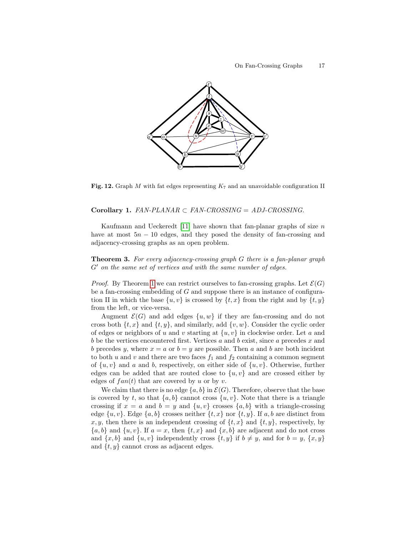

<span id="page-16-0"></span>**Fig. 12.** Graph M with fat edges representing  $K_7$  and an unavoidable configuration II

#### Corollary 1.  $FAN-PLANAR \subset FAN-CROSSING = ADJ-CROSSING$ .

Kaufmann and Ueckeredt [\[11\]](#page-18-3) have shown that fan-planar graphs of size  $n$ have at most  $5n - 10$  edges, and they posed the density of fan-crossing and adjacency-crossing graphs as an open problem.

**Theorem 3.** For every adjacency-crossing graph G there is a fan-planar graph  $G'$  on the same set of vertices and with the same number of edges.

*Proof.* By Theorem [1](#page-11-0) we can restrict ourselves to fan-crossing graphs. Let  $\mathcal{E}(G)$ be a fan-crossing embedding of  $G$  and suppose there is an instance of configuration II in which the base  $\{u, v\}$  is crossed by  $\{t, x\}$  from the right and by  $\{t, y\}$ from the left, or vice-versa.

Augment  $\mathcal{E}(G)$  and add edges  $\{u, w\}$  if they are fan-crossing and do not cross both  $\{t, x\}$  and  $\{t, y\}$ , and similarly, add  $\{v, w\}$ . Consider the cyclic order of edges or neighbors of u and v starting at  $\{u, v\}$  in clockwise order. Let a and b be the vertices encountered first. Vertices a and b exist, since a precedes x and b precedes y, where  $x = a$  or  $b = y$  are possible. Then a and b are both incident to both u and v and there are two faces  $f_1$  and  $f_2$  containing a common segment of  $\{u, v\}$  and a and b, respectively, on either side of  $\{u, v\}$ . Otherwise, further edges can be added that are routed close to  $\{u, v\}$  and are crossed either by edges of  $fan(t)$  that are covered by u or by v.

We claim that there is no edge  $\{a, b\}$  in  $\mathcal{E}(G)$ . Therefore, observe that the base is covered by t, so that  $\{a, b\}$  cannot cross  $\{u, v\}$ . Note that there is a triangle crossing if  $x = a$  and  $b = y$  and  $\{u, v\}$  crosses  $\{a, b\}$  with a triangle-crossing edge  $\{u, v\}$ . Edge  $\{a, b\}$  crosses neither  $\{t, x\}$  nor  $\{t, y\}$ . If a, b are distinct from x, y, then there is an independent crossing of  $\{t, x\}$  and  $\{t, y\}$ , respectively, by  ${a, b}$  and  ${u, v}$ . If  $a = x$ , then  ${t, x}$  and  ${x, b}$  are adjacent and do not cross and  $\{x, b\}$  and  $\{u, v\}$  independently cross  $\{t, y\}$  if  $b \neq y$ , and for  $b = y$ ,  $\{x, y\}$ and  $\{t, y\}$  cannot cross as adjacent edges.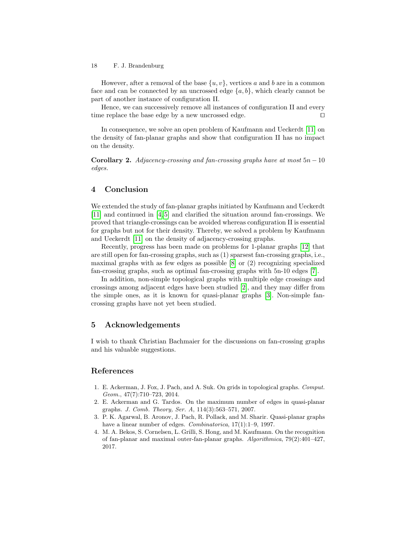However, after a removal of the base  $\{u, v\}$ , vertices a and b are in a common face and can be connected by an uncrossed edge  $\{a, b\}$ , which clearly cannot be part of another instance of configuration II.

Hence, we can successively remove all instances of configuration II and every time replace the base edge by a new uncrossed edge.  $\Box$ 

In consequence, we solve an open problem of Kaufmann and Ueckerdt [\[11\]](#page-18-3) on the density of fan-planar graphs and show that configuration II has no impact on the density.

Corollary 2. Adjacency-crossing and fan-crossing graphs have at most  $5n - 10$ edges.

# <span id="page-17-3"></span>4 Conclusion

We extended the study of fan-planar graphs initiated by Kaufmann and Ueckerdt [\[11\]](#page-18-3) and continued in [\[4,](#page-17-0) [5\]](#page-18-2) and clarified the situation around fan-crossings. We proved that triangle-crossings can be avoided whereas configuration II is essential for graphs but not for their density. Thereby, we solved a problem by Kaufmann and Ueckerdt [\[11\]](#page-18-3) on the density of adjacency-crossing graphs.

Recently, progress has been made on problems for 1-planar graphs [\[12\]](#page-18-0) that are still open for fan-crossing graphs, such as (1) sparsest fan-crossing graphs, i.e., maximal graphs with as few edges as possible  $[8]$  or  $(2)$  recognizing specialized fan-crossing graphs, such as optimal fan-crossing graphs with 5n-10 edges [\[7\]](#page-18-8).

In addition, non-simple topological graphs with multiple edge crossings and crossings among adjacent edges have been studied [\[2\]](#page-17-4), and they may differ from the simple ones, as it is known for quasi-planar graphs [\[3\]](#page-17-1). Non-simple fancrossing graphs have not yet been studied.

### 5 Acknowledgements

I wish to thank Christian Bachmaier for the discussions on fan-crossing graphs and his valuable suggestions.

### References

- <span id="page-17-2"></span>1. E. Ackerman, J. Fox, J. Pach, and A. Suk. On grids in topological graphs. Comput. Geom., 47(7):710–723, 2014.
- <span id="page-17-4"></span>2. E. Ackerman and G. Tardos. On the maximum number of edges in quasi-planar graphs. J. Comb. Theory, Ser. A, 114(3):563–571, 2007.
- <span id="page-17-1"></span>3. P. K. Agarwal, B. Aronov, J. Pach, R. Pollack, and M. Sharir. Quasi-planar graphs have a linear number of edges. *Combinatorica*,  $17(1):1-9$ , 1997.
- <span id="page-17-0"></span>4. M. A. Bekos, S. Cornelsen, L. Grilli, S. Hong, and M. Kaufmann. On the recognition of fan-planar and maximal outer-fan-planar graphs. Algorithmica, 79(2):401–427, 2017.